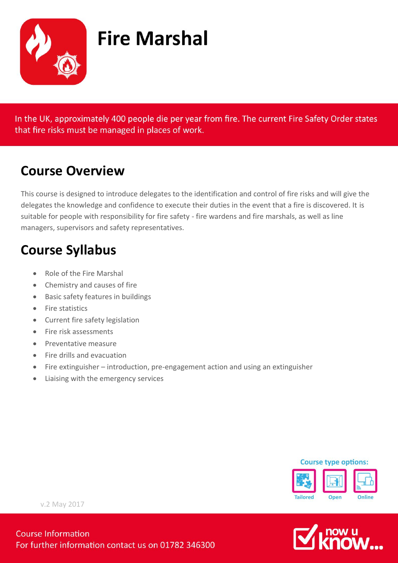

# **Fire Marshal**

In the UK, approximately 400 people die per year from fire. The current Fire Safety Order states that fire risks must be managed in places of work.

#### **Course Overview**

This course is designed to introduce delegates to the identification and control of fire risks and will give the delegates the knowledge and confidence to execute their duties in the event that a fire is discovered. It is suitable for people with responsibility for fire safety - fire wardens and fire marshals, as well as line managers, supervisors and safety representatives.

#### **Course Syllabus**

- Role of the Fire Marshal
- Chemistry and causes of fire
- Basic safety features in buildings
- Fire statistics
- Current fire safety legislation
- Fire risk assessments
- Preventative measure
- Fire drills and evacuation
- Fire extinguisher introduction, pre-engagement action and using an extinguisher
- Liaising with the emergency services





v.2 May 2017